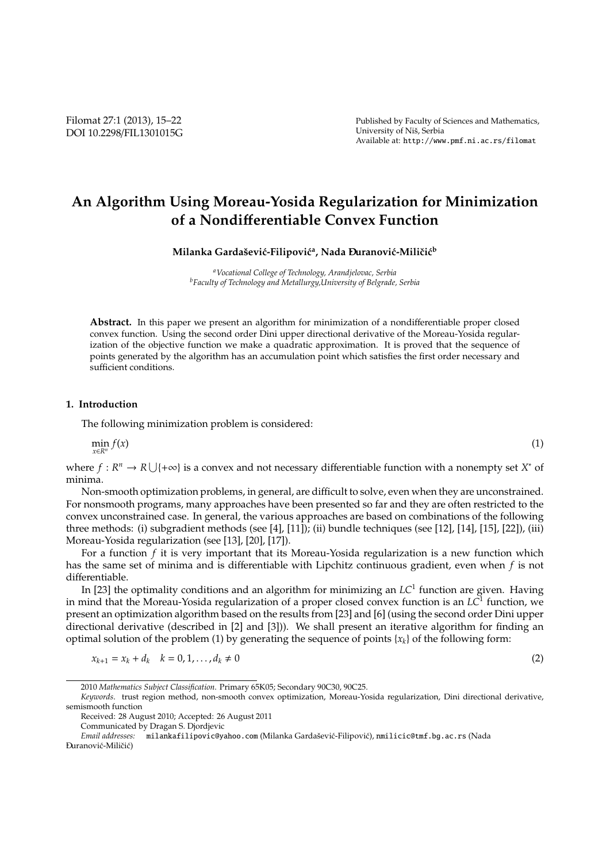# **An Algorithm Using Moreau-Yosida Regularization for Minimization of a Nondi**ff**erentiable Convex Function**

**Milanka Gardaˇsevi´c-Filipovi´c<sup>a</sup> , Nada D- uranovi´c-Miliˇci´c<sup>b</sup>**

*<sup>a</sup>Vocational College of Technology, Arandjelovac, Serbia <sup>b</sup>Faculty of Technology and Metallurgy,University of Belgrade, Serbia*

**Abstract.** In this paper we present an algorithm for minimization of a nondifferentiable proper closed convex function. Using the second order Dini upper directional derivative of the Moreau-Yosida regularization of the objective function we make a quadratic approximation. It is proved that the sequence of points generated by the algorithm has an accumulation point which satisfies the first order necessary and sufficient conditions.

# **1. Introduction**

The following minimization problem is considered:

$$
\min_{x \in R^n} f(x) \tag{1}
$$

where  $f: R^n \to R \cup \{+\infty\}$  is a convex and not necessary differentiable function with a nonempty set *X*<sup>\*</sup> of minima.

Non-smooth optimization problems, in general, are difficult to solve, even when they are unconstrained. For nonsmooth programs, many approaches have been presented so far and they are often restricted to the convex unconstrained case. In general, the various approaches are based on combinations of the following three methods: (i) subgradient methods (see [4], [11]); (ii) bundle techniques (see [12], [14], [15], [22]), (iii) Moreau-Yosida regularization (see [13], [20], [17]).

For a function *f* it is very important that its Moreau-Yosida regularization is a new function which has the same set of minima and is differentiable with Lipchitz continuous gradient, even when *f* is not differentiable.

In [23] the optimality conditions and an algorithm for minimizing an *LC*<sup>1</sup> function are given. Having in mind that the Moreau-Yosida regularization of a proper closed convex function is an *LC*<sup>1</sup> function, we present an optimization algorithm based on the results from [23] and [6] (using the second order Dini upper directional derivative (described in [2] and [3])). We shall present an iterative algorithm for finding an optimal solution of the problem (1) by generating the sequence of points  $\{x_k\}$  of the following form:

$$
x_{k+1} = x_k + d_k \quad k = 0, 1, ..., d_k \neq 0
$$
\n<sup>(2)</sup>

*Keywords*. trust region method, non-smooth convex optimization, Moreau-Yosida regularization, Dini directional derivative, semismooth function

<sup>2010</sup> *Mathematics Subject Classification*. Primary 65K05; Secondary 90C30, 90C25.

Received: 28 August 2010; Accepted: 26 August 2011

Communicated by Dragan S. Djordjevic<br>
Email addresses: milankafilipovic@va

*Email addresses:* milankafilipovic@yahoo.com (Milanka Gardasevi ˇ c-Filipovi ´ c), ´ nmilicic@tmf.bg.ac.rs (Nada Đuranović-Miličić)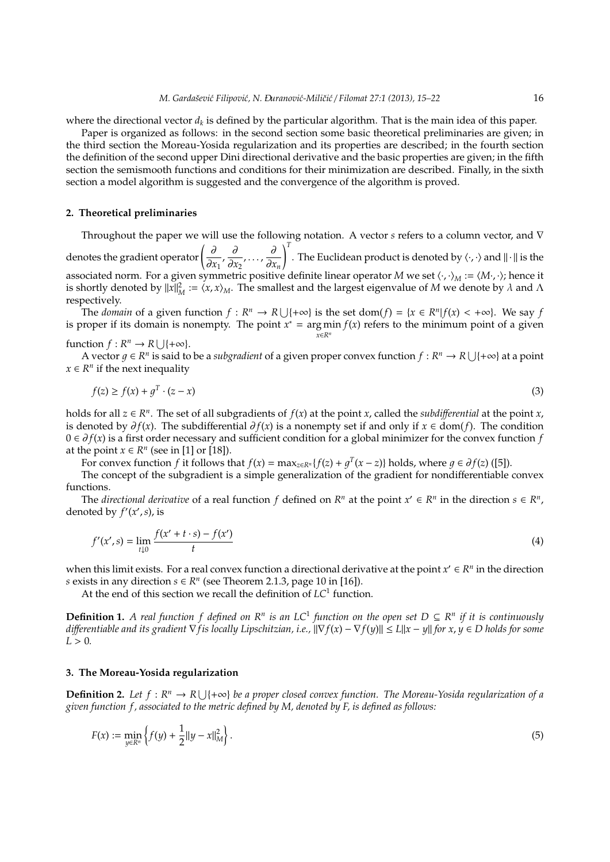where the directional vector  $d_k$  is defined by the particular algorithm. That is the main idea of this paper.

Paper is organized as follows: in the second section some basic theoretical preliminaries are given; in the third section the Moreau-Yosida regularization and its properties are described; in the fourth section the definition of the second upper Dini directional derivative and the basic properties are given; in the fifth section the semismooth functions and conditions for their minimization are described. Finally, in the sixth section a model algorithm is suggested and the convergence of the algorithm is proved.

## **2. Theoretical preliminaries**

Throughout the paper we will use the following notation. A vector *s* refers to a column vector, and ∇ denotes the gradient operator  $\left(\frac{\partial}{\partial x}\right)$  $\frac{\partial}{\partial x_1}$ ,  $\frac{\partial}{\partial x_2}$  $\frac{\partial}{\partial x_2}, \ldots, \frac{\partial}{\partial x_n}$ ∂*x<sup>n</sup>*  $\int^T$ . The Euclidean product is denoted by  $\langle \cdot, \cdot \rangle$  and  $\| \cdot \|$  is the associated norm. For a given symmetric positive definite linear operator *M* we set ⟨·, ·⟩*<sup>M</sup>* := ⟨*M*·, ·⟩; hence it is shortly denoted by  $||x||_M^2 := \langle x, x \rangle_M$ . The smallest and the largest eigenvalue of *M* we denote by  $\lambda$  and  $\Lambda$ respectively.

The *domain* of a given function  $f : R^n \to R \cup \{+\infty\}$  is the set dom( $f$ ) = { $x \in R^n | f(x) < +\infty$ }. We say  $f$ is proper if its domain is nonempty. The point  $x^* = \arg \min f(x)$  refers to the minimum point of a given *x*∈*R<sup>n</sup>*

function  $f: R^n \to R \cup \{+\infty\}.$ 

A vector  $g \in R^n$  is said to be a *subgradient* of a given proper convex function  $f: R^n \to R \cup \{+\infty\}$  at a point  $x \in R^n$  if the next inequality

$$
f(z) \ge f(x) + g^T \cdot (z - x) \tag{3}
$$

holds for all  $z \in R^n$ . The set of all subgradients of  $f(x)$  at the point *x*, called the *subdifferential* at the point *x*, is denoted by  $\partial f(x)$ . The subdifferential  $\partial f(x)$  is a nonempty set if and only if *x* ∈ dom(*f*). The condition 0 ∈ ∂ *f*(*x*) is a first order necessary and sufficient condition for a global minimizer for the convex function *f* at the point  $x \in R^n$  (see in [1] or [18]).

For convex function *f* it follows that  $f(x) = \max_{z \in R^n} {f(z) + g^T(x - z)}$  holds, where  $g \in \partial f(z)$  ([5]).

The concept of the subgradient is a simple generalization of the gradient for nondifferentiable convex functions.

The *directional derivative* of a real function *f* defined on  $R^n$  at the point  $x' \in R^n$  in the direction  $s \in R^n$ , denoted by  $f'(x', s)$ , is

$$
f'(x',s) = \lim_{t \downarrow 0} \frac{f(x'+t \cdot s) - f(x')}{t}
$$
 (4)

when this limit exists. For a real convex function a directional derivative at the point  $x' \in R^n$  in the direction *s* exists in any direction  $s \in \mathbb{R}^n$  (see Theorem 2.1.3, page 10 in [16]).

At the end of this section we recall the definition of *LC*<sup>1</sup> function.

**Definition 1.** A real function f defined on  $R^n$  is an LC<sup>1</sup> function on the open set  $D \subseteq R^n$  if it is continuously *di*ff*erentiable and its gradient* ∇*fis locally Lipschitzian, i.e.,* ∥∇*f*(*x*) − ∇*f*(*y*)∥ ≤ *L*∥*x* − *y*∥ *for x*, *y* ∈ *D holds for some*  $L > 0$ .

# **3. The Moreau-Yosida regularization**

**Definition 2.** Let  $f: \mathbb{R}^n \to \mathbb{R} \cup \{+\infty\}$  be a proper closed convex function. The Moreau-Yosida regularization of a *given function f , associated to the metric defined by M, denoted by F, is defined as follows:*

$$
F(x) := \min_{y \in \mathbb{R}^n} \left\{ f(y) + \frac{1}{2} ||y - x||_M^2 \right\}.
$$
 (5)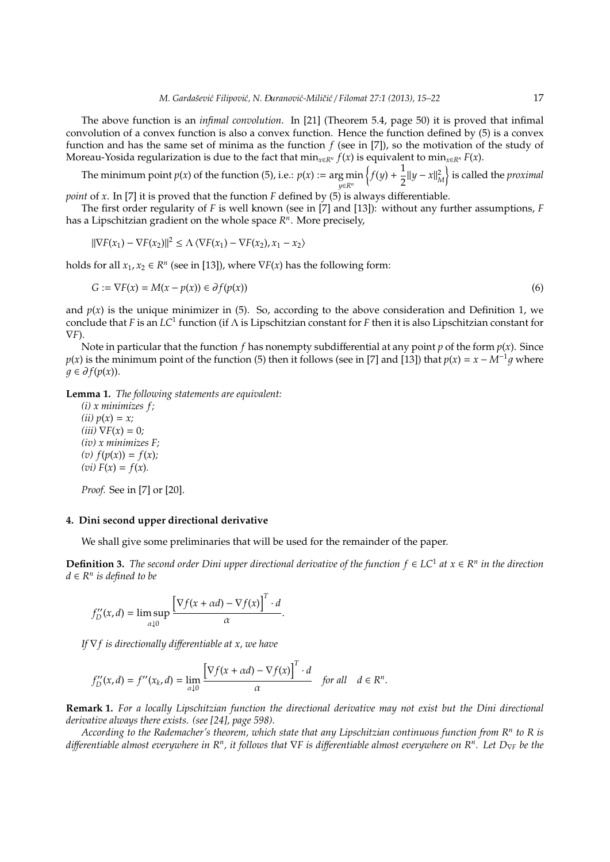The above function is an *infimal convolution*. In [21] (Theorem 5.4, page 50) it is proved that infimal convolution of a convex function is also a convex function. Hence the function defined by (5) is a convex function and has the same set of minima as the function *f* (see in [7]), so the motivation of the study of Moreau-Yosida regularization is due to the fact that  $\min_{x \in R^n} f(x)$  is equivalent to  $\min_{x \in R^n} F(x)$ .

The minimum point  $p(x)$  of the function (5), i.e.:  $p(x) := \arg \min$ *y*∈*R<sup>n</sup>*  $\{f(y) + \frac{1}{2}\}$  $\frac{1}{2}$ ||*y* − *x*||<sup>2</sup><sub>*M*</sub></sub> $\}$  is called the *proximal* 

*point* of *x*. In [7] it is proved that the function *F* defined by (5) is always differentiable.

The first order regularity of *F* is well known (see in [7] and [13]): without any further assumptions, *F* has a Lipschitzian gradient on the whole space *R n* . More precisely,

$$
\|\nabla F(x_1) - \nabla F(x_2)\|^2 \le \Lambda \langle \nabla F(x_1) - \nabla F(x_2), x_1 - x_2 \rangle
$$

holds for all  $x_1, x_2 \in \mathbb{R}^n$  (see in [13]), where  $\nabla F(x)$  has the following form:

$$
G := \nabla F(x) = M(x - p(x)) \in \partial f(p(x))
$$
\n<sup>(6)</sup>

and  $p(x)$  is the unique minimizer in (5). So, according to the above consideration and Definition 1, we conclude that *F* is an *LC*<sup>1</sup> function (if Λ is Lipschitzian constant for *F* then it is also Lipschitzian constant for ∇*F*).

Note in particular that the function *f* has nonempty subdifferential at any point *p* of the form  $p(x)$ . Since *p*(*x*) is the minimum point of the function (5) then it follows (see in [7] and [13]) that  $p(x) = x - M^{-1}q$  where  $q ∈ ∂ f(p(x))$ .

**Lemma 1.** *The following statements are equivalent:*

*(i) x minimizes f ;*  $(iii) p(x) = x;$  $(iii) \nabla F(x) = 0;$ *(iv) x minimizes F;*  $f(v) f(p(x)) = f(x)$ ;  $f(vi) F(x) = f(x)$ .

*Proof.* See in [7] or [20].

# **4. Dini second upper directional derivative**

We shall give some preliminaries that will be used for the remainder of the paper.

**Definition 3.** The second order Dini upper directional derivative of the function  $f$  ∈ LC<sup>1</sup> at  $x$  ∈ R<sup>n</sup> in the direction *d* ∈ *R n is defined to be*

$$
f''_D(x,d) = \limsup_{\alpha \downarrow 0} \frac{\left[\nabla f(x + \alpha d) - \nabla f(x)\right]^T \cdot d}{\alpha}.
$$

*If* ∇*f is directionally di*ff*erentiable at x, we have*

$$
f''_D(x,d) = f''(x_k,d) = \lim_{\alpha \downarrow 0} \frac{\left[\nabla f(x + \alpha d) - \nabla f(x)\right]^T \cdot d}{\alpha} \quad \text{for all} \quad d \in \mathbb{R}^n.
$$

**Remark 1.** *For a locally Lipschitzian function the directional derivative may not exist but the Dini directional derivative always there exists. (see [24], page 598).*

*According to the Rademacher's theorem, which state that any Lipschitzian continuous function from R<sup>n</sup> to R is di*ff*erentiable almost everywhere in R<sup>n</sup> , it follows that* ∇*F is di*ff*erentiable almost everywhere on R<sup>n</sup> . Let D*<sup>∇</sup>*<sup>F</sup> be the*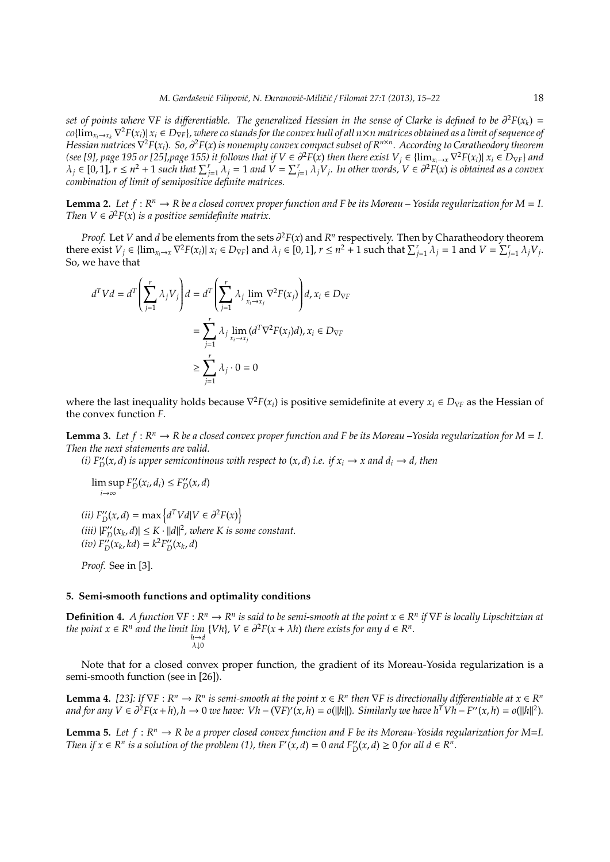*set of points where* ∇*F is di*ff*erentiable. The generalized Hessian in the sense of Clarke is defined to be* ∂ <sup>2</sup>*F*(*xk*) =  $co\{\lim_{x_i\to x_k}\nabla^2F(x_i)\right]x_i\in D_{\nabla F}\}$ , where co stands for the convex hull of all  $n\times n$  matrices obtained as a limit of sequence of *Hessian matrices* ∇ <sup>2</sup>*F*(*xi*)*. So,* ∂ <sup>2</sup>*F*(*x*) *is nonempty convex compact subset of R<sup>n</sup>*×*<sup>n</sup> . According to Caratheodory theorem* (see [9], page 195 or [25],page 155) it follows that if  $V \in \partial^2 F(x)$  then there exist  $V_j \in \{\lim_{x_i \to x} \nabla^2 F(x_i) | x_i \in D_{\nabla F}\}$  and  $\lambda_j \in [0,1]$ ,  $r \leq n^2 + 1$  such that  $\sum_{j=1}^r \lambda_j = 1$  and  $V = \sum_{j=1}^r \lambda_j V_j$ . In other words,  $V \in \partial^2 F(x)$  is obtained as a convex *combination of limit of semipositive definite matrices.*

**Lemma 2.** Let  $f : R^n \to R$  be a closed convex proper function and F be its Moreau – Yosida regularization for  $M = I$ . *Then*  $V \in \partial^2 F(x)$  *is a positive semidefinite matrix.* 

*Proof.* Let *V* and *d* be elements from the sets  $\partial^2 F(x)$  and  $R^n$  respectively. Then by Charatheodory theorem there exist  $V_j \in \{\lim_{x_i \to x} \nabla^2 F(x_i) | x_i \in D_{\nabla F}\}\$  and  $\lambda_j \in [0,1]$ ,  $r \leq n^2 + 1$  such that  $\sum_{j=1}^r \lambda_j = 1$  and  $V = \sum_{j=1}^r \lambda_j V_j$ . So, we have that

$$
d^T V d = d^T \left( \sum_{j=1}^r \lambda_j V_j \right) d = d^T \left( \sum_{j=1}^r \lambda_j \lim_{x_i \to x_j} \nabla^2 F(x_j) \right) d, x_i \in D_{\nabla F}
$$
  
= 
$$
\sum_{j=1}^r \lambda_j \lim_{x_i \to x_j} (d^T \nabla^2 F(x_j) d), x_i \in D_{\nabla F}
$$
  

$$
\ge \sum_{j=1}^r \lambda_j \cdot 0 = 0
$$

where the last inequality holds because ∇ <sup>2</sup>*F*(*xi*) is positive semidefinite at every *x<sup>i</sup>* ∈ *D*<sup>∇</sup>*<sup>F</sup>* as the Hessian of the convex function *F*.

**Lemma 3.** Let  $f: \mathbb{R}^n \to \mathbb{R}$  be a closed convex proper function and F be its Moreau –Yosida regularization for  $M = I$ . *Then the next statements are valid.*

*(i)*  $F''_D(x, d)$  *is upper semicontinous with respect to*  $(x, d)$  *i.e. if*  $x_i \rightarrow x$  *and*  $d_i \rightarrow d$ , *then* 

$$
\limsup_{i\to\infty} F_D''(x_i,d_i) \leq F_D''(x,d)
$$

 $\langle ii \rangle F''_{D}(x, d) = \max \left\{ d^{T}Vd|V \in \partial^{2}F(x) \right\}$  $\langle iii \rangle |F''_{D}(x_{k}, d)| \leq K \cdot ||d||^{2},$  where K is some constant.  $F_D^{\prime\prime}(x_k, kd) = k^2 F_D^{\prime\prime}(x_k, d)$ 

*Proof.* See in [3].

#### **5. Semi-smooth functions and optimality conditions**

**Definition 4.** A function  $\nabla$ F :  $R^n$  →  $R^n$  is said to be semi-smooth at the point  $x$  ∈  $R^n$  if  $\nabla$ F is locally Lipschitzian at *the point*  $x \in R^n$  *and the limit lim* {*Vh*}*,*  $V \in \partial^2 F(x + \lambda h)$  *there exists for any d*  $\in R^n$ *.*  $\lambda$ |0

Note that for a closed convex proper function, the gradient of its Moreau-Yosida regularization is a semi-smooth function (see in [26]).

**Lemma 4.** [23]: If  $\nabla F : R^n \to R^n$  is semi-smooth at the point  $x \in R^n$  then  $\nabla F$  is directionally differentiable at  $x \in R^n$ and for any  $V \in \partial^2 F(x+h)$ ,  $h \to 0$  we have:  $Vh - (\nabla F)'(x,h) = o(||h||)$ . Similarly we have  $h^T V h - F''(x,h) = o(||h||^2)$ .

**Lemma 5.** Let  $f: \mathbb{R}^n \to \mathbb{R}$  be a proper closed convex function and F be its Moreau-Yosida regularization for M=I. *Then if*  $x \in R^n$  *is a solution of the problem* (1), *then*  $F'(x, d) = 0$  *and*  $F''_D(x, d) \ge 0$  *for all*  $d \in R^n$ .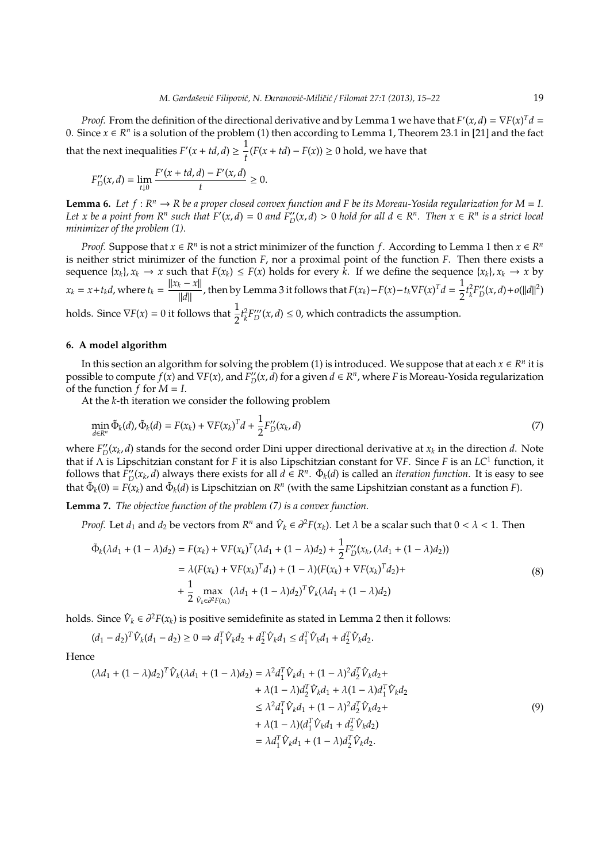*Proof.* From the definition of the directional derivative and by Lemma 1 we have that  $F'(x, d) = \nabla F(x)^T d =$ 0. Since  $x \in R^n$  is a solution of the problem (1) then according to Lemma 1, Theorem 23.1 in [21] and the fact that the next inequalities  $F'(x + td, d) \geq \frac{1}{4}$  $\frac{1}{t}$  (*F*(*x* + *td*) − *F*(*x*)) ≥ 0 hold, we have that

$$
F_D^{\prime\prime}(x,d)=\lim_{t\downarrow 0}\frac{F^{\prime}(x+td,d)-F^{\prime}(x,d)}{t}\geq 0.
$$

**Lemma 6.** Let  $f: \mathbb{R}^n \to \mathbb{R}$  be a proper closed convex function and F be its Moreau-Yosida regularization for  $M = I$ . Let x be a point from  $R^n$  such that  $F'(x,d) = 0$  and  $F''_D(x,d) > 0$  hold for all  $d \in R^n$ . Then  $x \in R^n$  is a strict local *minimizer of the problem (1).*

*Proof.* Suppose that  $x \in R^n$  is not a strict minimizer of the function *f*. According to Lemma 1 then  $x \in R^n$ is neither strict minimizer of the function *F*, nor a proximal point of the function *F*. Then there exists a sequence  $\{x_k\}$ ,  $x_k \to x$  such that  $F(x_k) \leq F(x)$  holds for every  $\overline{k}$ . If we define the sequence  $\{x_k\}$ ,  $x_k \to x$  by  $x_k = x + t_k d$ , where  $t_k = \frac{||x_k - x||}{||d||}$ ∥*d*∥ , then by Lemma 3 it follows that *F*(*xk*)−*F*(*x*)−*tk*∇*F*(*x*) *<sup>T</sup>d* = 1  $\frac{1}{2}t_k^2 F''_D(x,d) + o(||d||^2)$ holds. Since  $\nabla F(x) = 0$  it follows that  $\frac{1}{2} t_k^2 F''_D(x, d) \le 0$ , which contradicts the assumption.

# **6. A model algorithm**

In this section an algorithm for solving the problem (1) is introduced. We suppose that at each  $x \in R^n$  it is possible to compute  $f(x)$  and  $\nabla F(x)$ , and  $\overline{F''_D}(x, d)$  for a given  $d \in \mathbb{R}^n$ , where *F* is Moreau-Yosida regularization of the function *f* for *M* = *I*.

At the *k*-th iteration we consider the following problem

$$
\min_{d \in \mathbb{R}^n} \tilde{\Phi}_k(d), \tilde{\Phi}_k(d) = F(x_k) + \nabla F(x_k)^T d + \frac{1}{2} F''_D(x_k, d)
$$
\n(7)

where  $F''_D(x_k, d)$  stands for the second order Dini upper directional derivative at  $x_k$  in the direction *d*. Note that if Λ is Lipschitzian constant for *F* it is also Lipschitzian constant for ∇*F*. Since *F* is an *LC*<sup>1</sup> function, it follows that  $\bar{F}''_D(x_k, d)$  always there exists for all  $d \in \mathbb{R}^n$ .  $\tilde{\Phi}_k(d)$  is called an *iteration function*. It is easy to see that  $\tilde{\Phi}_k(0) = F(x_k)$  and  $\tilde{\Phi}_k(d)$  is Lipschitzian on  $R^n$  (with the same Lipshitzian constant as a function *F*).

**Lemma 7.** *The objective function of the problem (7) is a convex function.*

*Proof.* Let  $d_1$  and  $d_2$  be vectors from  $R^n$  and  $\hat{V}_k \in \partial^2 F(x_k)$ . Let  $\lambda$  be a scalar such that  $0 < \lambda < 1$ . Then

$$
\tilde{\Phi}_k(\lambda d_1 + (1 - \lambda)d_2) = F(x_k) + \nabla F(x_k)^T (\lambda d_1 + (1 - \lambda)d_2) + \frac{1}{2} F''_{D}(x_k, (\lambda d_1 + (1 - \lambda)d_2))
$$
\n
$$
= \lambda (F(x_k) + \nabla F(x_k)^T d_1) + (1 - \lambda)(F(x_k) + \nabla F(x_k)^T d_2) + \frac{1}{2} \max_{\hat{V}_k \in \partial^2 F(x_k)} (\lambda d_1 + (1 - \lambda)d_2)^T \hat{V}_k(\lambda d_1 + (1 - \lambda)d_2)
$$
\n(8)

holds. Since  $\hat{V}_k \in \partial^2 F(x_k)$  is positive semidefinite as stated in Lemma 2 then it follows:

$$
(d_1 - d_2)^T \hat{V}_k (d_1 - d_2) \ge 0 \Rightarrow d_1^T \hat{V}_k d_2 + d_2^T \hat{V}_k d_1 \le d_1^T \hat{V}_k d_1 + d_2^T \hat{V}_k d_2.
$$

Hence

$$
(\lambda d_1 + (1 - \lambda)d_2)^T \hat{V}_k (\lambda d_1 + (1 - \lambda)d_2) = \lambda^2 d_1^T \hat{V}_k d_1 + (1 - \lambda)^2 d_2^T \hat{V}_k d_2 + + \lambda (1 - \lambda)d_2^T \hat{V}_k d_1 + \lambda (1 - \lambda)d_1^T \hat{V}_k d_2 \leq \lambda^2 d_1^T \hat{V}_k d_1 + (1 - \lambda)^2 d_2^T \hat{V}_k d_2 + + \lambda (1 - \lambda)(d_1^T \hat{V}_k d_1 + d_2^T \hat{V}_k d_2) = \lambda d_1^T \hat{V}_k d_1 + (1 - \lambda)d_2^T \hat{V}_k d_2.
$$
\n(9)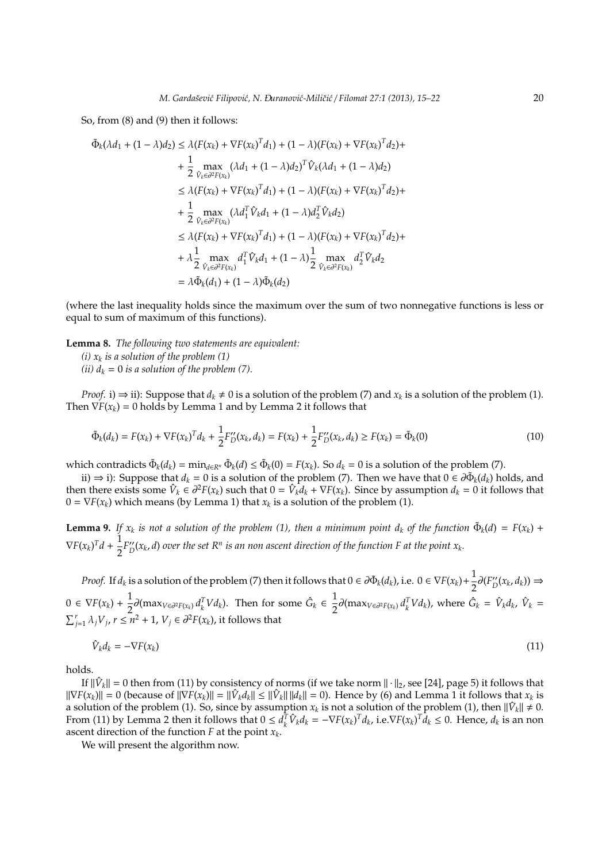So, from (8) and (9) then it follows:

$$
\tilde{\Phi}_{k}(\lambda d_{1} + (1 - \lambda)d_{2}) \leq \lambda (F(x_{k}) + \nabla F(x_{k})^{T}d_{1}) + (1 - \lambda)(F(x_{k}) + \nabla F(x_{k})^{T}d_{2}) +
$$
\n
$$
+ \frac{1}{2} \max_{\hat{V}_{k} \in \partial^{2} F(x_{k})} (\lambda d_{1} + (1 - \lambda)d_{2})^{T} \hat{V}_{k}(\lambda d_{1} + (1 - \lambda)d_{2})
$$
\n
$$
\leq \lambda (F(x_{k}) + \nabla F(x_{k})^{T}d_{1}) + (1 - \lambda)(F(x_{k}) + \nabla F(x_{k})^{T}d_{2}) +
$$
\n
$$
+ \frac{1}{2} \max_{\hat{V}_{k} \in \partial^{2} F(x_{k})} (\lambda d_{1}^{T} \hat{V}_{k}d_{1} + (1 - \lambda)d_{2}^{T} \hat{V}_{k}d_{2})
$$
\n
$$
\leq \lambda (F(x_{k}) + \nabla F(x_{k})^{T}d_{1}) + (1 - \lambda)(F(x_{k}) + \nabla F(x_{k})^{T}d_{2}) +
$$
\n
$$
+ \lambda \frac{1}{2} \max_{\hat{V}_{k} \in \partial^{2} F(x_{k})} d_{1}^{T} \hat{V}_{k}d_{1} + (1 - \lambda) \frac{1}{2} \max_{\hat{V}_{k} \in \partial^{2} F(x_{k})} d_{2}^{T} \hat{V}_{k}d_{2}
$$
\n
$$
= \lambda \tilde{\Phi}_{k}(d_{1}) + (1 - \lambda)\tilde{\Phi}_{k}(d_{2})
$$

(where the last inequality holds since the maximum over the sum of two nonnegative functions is less or equal to sum of maximum of this functions).

**Lemma 8.** *The following two statements are equivalent: (i) x<sup>k</sup> is a solution of the problem (1)*

*(ii)*  $d_k = 0$  *is a solution of the problem (7).* 

*Proof.* i)  $\Rightarrow$  ii): Suppose that  $d_k \neq 0$  is a solution of the problem (7) and  $x_k$  is a solution of the problem (1). Then  $\nabla F(x_k) = 0$  holds by Lemma 1 and by Lemma 2 it follows that

$$
\tilde{\Phi}_k(d_k) = F(x_k) + \nabla F(x_k)^T d_k + \frac{1}{2} F''_D(x_k, d_k) = F(x_k) + \frac{1}{2} F''_D(x_k, d_k) \ge F(x_k) = \tilde{\Phi}_k(0)
$$
\n(10)

which contradicts  $\tilde{\Phi}_k(d_k) = \min_{d \in \mathbb{R}^n} \tilde{\Phi}_k(d) \le \tilde{\Phi}_k(0) = F(x_k)$ . So  $d_k = 0$  is a solution of the problem (7).

ii) ⇒ i): Suppose that  $d_k = 0$  is a solution of the problem (7). Then we have that  $0 \in \partial \tilde{\Phi}_k(d_k)$  holds, and then there exists some  $\hat{V}_k \in \partial^2 F(x_k)$  such that  $0 = \hat{V}_k \hat{d}_k + \nabla F(x_k)$ . Since by assumption  $d_k = 0$  it follows that  $0 = \nabla F(x_k)$  which means (by Lemma 1) that  $x_k$  is a solution of the problem (1).

**Lemma 9.** If  $x_k$  is not a solution of the problem (1), then a minimum point  $d_k$  of the function  $\tilde{\Phi}_k(d) = F(x_k) +$  $\nabla F(x_k)^T d + \frac{1}{2}$  $\frac{1}{2}F''_D(x_k, d)$  over the set  $R^n$  is an non ascent direction of the function F at the point  $x_k$ .

*Proof.* If  $d_k$  is a solution of the problem (7) then it follows that  $0 \in \partial \tilde{\Phi}_k(d_k)$ , i.e.  $0 \in \nabla F(x_k) + \frac{1}{2}$  $\frac{1}{2}\partial(F''_D(x_k, d_k)) \Rightarrow$  $0 \in \nabla F(x_k) + \frac{1}{2}$  $\frac{1}{2}$ ∂(max<sub>*V*∈∂<sup>2</sup>F(x<sub>k</sub></sub>)</sub>  $d_k^T V d_k$ ). Then for some  $\hat{G}_k$  ∈  $\frac{1}{2}$  $\frac{1}{2}\partial(\max_{V\in\partial^2 F(x_k)}d_k^T Vd_k)$ , where  $\hat{G}_k = \hat{V}_k d_k$ ,  $\hat{V}_k =$  $\sum_{j=1}^r \lambda_j V_j$ ,  $r \leq n^2 + 1$ ,  $V_j \in \partial^2 F(x_k)$ , it follows that

$$
\hat{V}_k d_k = -\nabla F(x_k) \tag{11}
$$

holds.

If  $\|\hat{V}_k\|=0$  then from (11) by consistency of norms (if we take norm  $\|\cdot\|_2$ , see [24], page 5) it follows that  $||\nabla F(x_k)|| = 0$  (because of  $||\nabla F(x_k)|| = ||\hat{V}_k d_k|| \leq ||\hat{V}_k|| ||d_k|| = 0$ ). Hence by (6) and Lemma 1 it follows that  $x_k$  is a solution of the problem (1). So, since by assumption  $x_k$  is not a solution of the problem (1), then  $\|\hat{V}_k\| \neq 0$ . From (11) by Lemma 2 then it follows that  $0 \le d_k^T \hat{V}_k d_k = -\nabla F(x_k)^T d_k$ , i.e.  $\nabla F(x_k)^T \hat{d}_k \le 0$ . Hence,  $d_k$  is an non ascent direction of the function *F* at the point *x<sup>k</sup>* .

We will present the algorithm now.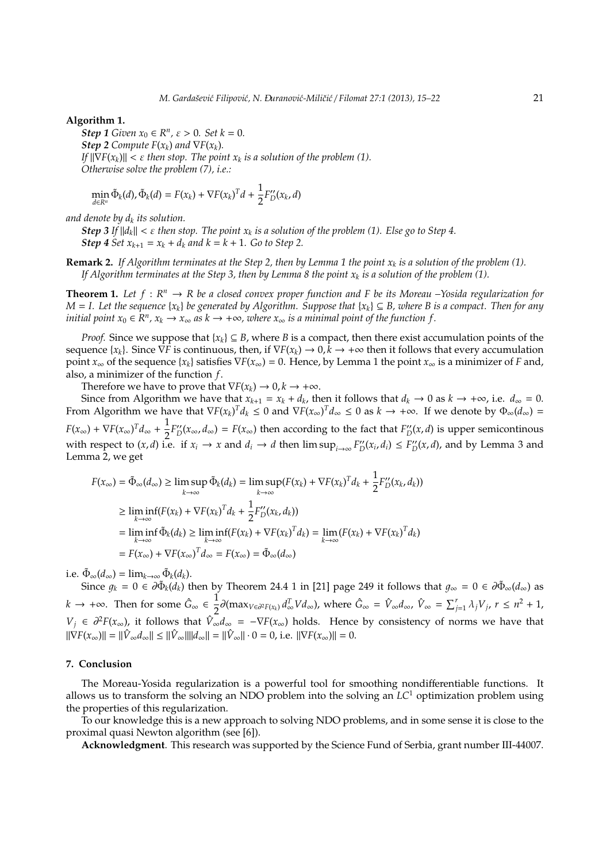### **Algorithm 1.**

*Step* 1 *Given*  $x_0 \in R^n$ ,  $\varepsilon > 0$ *. Set*  $k = 0$ *. Step 2 Compute*  $F(x_k)$  *and*  $\nabla F(x_k)$ *. If*  $||\nabla F(x_k)|| < \varepsilon$  then stop. The point  $x_k$  is a solution of the problem (1). *Otherwise solve the problem (7), i.e.:*

$$
\min_{d \in \mathbb{R}^n} \tilde{\Phi}_k(d), \tilde{\Phi}_k(d) = F(x_k) + \nabla F(x_k)^T d + \frac{1}{2} F''_D(x_k, d)
$$

*and denote by d<sup>k</sup> its solution.*

*Step 3 If*  $||d_k|| < \varepsilon$  *then stop. The point*  $x_k$  *is a solution of the problem (1). Else go to Step 4. Step 4 Set*  $x_{k+1} = x_k + d_k$  *and*  $k = k + 1$ *. Go to Step 2.* 

**Remark 2.** *If Algorithm terminates at the Step 2, then by Lemma 1 the point x<sup>k</sup> is a solution of the problem (1). If Algorithm terminates at the Step 3, then by Lemma 8 the point x<sup>k</sup> is a solution of the problem (1).*

**Theorem 1.** Let  $f: \mathbb{R}^n \to \mathbb{R}$  be a closed convex proper function and F be its Moreau –Yosida regularization for  $M = I$ . Let the sequence { $x_k$ } be generated by Algorithm. Suppose that { $x_k$ }  $\subseteq B$ *, where* B is a compact. Then for any *initial point*  $x_0 \in R^n$ ,  $x_k \to x_\infty$  *as*  $k \to +\infty$ , where  $x_\infty$  *is a minimal point of the function f.* 

*Proof.* Since we suppose that  ${x_k} \subseteq B$ , where *B* is a compact, then there exist accumulation points of the sequence  ${x_k}$ . Since  $\nabla F$  is continuous, then, if  $\nabla F(x_k) \to 0, k \to +\infty$  then it follows that every accumulation point  $x_{\infty}$  of the sequence  $\{x_k\}$  satisfies  $\nabla F(x_{\infty}) = 0$ . Hence, by Lemma 1 the point  $x_{\infty}$  is a minimizer of *F* and, also, a minimizer of the function *f*.

Therefore we have to prove that  $\nabla F(x_k) \to 0, k \to +\infty$ .

Since from Algorithm we have that  $x_{k+1} = x_k + d_k$ , then it follows that  $d_k \to 0$  as  $k \to +\infty$ , i.e.  $d_\infty = 0$ . From Algorithm we have that  $\nabla F(x_k)^T d_k \leq 0$  and  $\nabla F(x_\infty)^T d_\infty \leq 0$  as  $k \to +\infty$ . If we denote by  $\Phi_\infty(d_\infty) =$  $F(x_\infty) + \nabla F(x_\infty)^T d_\infty + \frac{1}{2}$  $\frac{1}{2}F_{D}''(x_{\infty}, d_{\infty}) = F(x_{\infty})$  then according to the fact that  $F_{D}''(x, d)$  is upper semicontinous with respect to  $(x, d)$  i.e. if  $x_i \to x$  and  $d_i \to d$  then  $\limsup_{i \to \infty} F''_D(x_i, d_i) \leq F''_D(x, d)$ , and by Lemma 3 and Lemma 2, we get

$$
F(x_{\infty}) = \tilde{\Phi}_{\infty}(d_{\infty}) \ge \limsup_{k \to \infty} \tilde{\Phi}_{k}(d_{k}) = \limsup_{k \to \infty} (F(x_{k}) + \nabla F(x_{k})^{T} d_{k} + \frac{1}{2} F_{D}^{\prime\prime}(x_{k}, d_{k}))
$$
  
\n
$$
\ge \liminf_{k \to \infty} (F(x_{k}) + \nabla F(x_{k})^{T} d_{k} + \frac{1}{2} F_{D}^{\prime\prime}(x_{k}, d_{k}))
$$
  
\n
$$
= \liminf_{k \to \infty} \tilde{\Phi}_{k}(d_{k}) \ge \liminf_{k \to \infty} (F(x_{k}) + \nabla F(x_{k})^{T} d_{k}) = \lim_{k \to \infty} (F(x_{k}) + \nabla F(x_{k})^{T} d_{k})
$$
  
\n
$$
= F(x_{\infty}) + \nabla F(x_{\infty})^{T} d_{\infty} = F(x_{\infty}) = \tilde{\Phi}_{\infty}(d_{\infty})
$$

i.e.  $\tilde{\Phi}_{\infty}(d_{\infty}) = \lim_{k \to \infty} \tilde{\Phi}_{k}(d_{k}).$ 

Since  $g_k = 0 \in \partial \tilde{\Phi}_k(d_k)$  then by Theorem 24.4 1 in [21] page 249 it follows that  $g_\infty = 0 \in \partial \tilde{\Phi}_\infty(d_\infty)$  as *k* → +∞. Then for some  $\hat{G}_{\infty} \in \frac{1}{2}$  $\frac{1}{2}\partial(\max_{V\in\partial^2 F(x_k)}d_{\infty}^T Vd_{\infty})$ , where  $\hat{G}_{\infty} = \hat{V}_{\infty}d_{\infty}$ ,  $\hat{V}_{\infty} = \sum_{j=1}^r \lambda_j V_j$ ,  $r \leq n^2 + 1$ , *V*<sup>*j*</sup> ∈  $\partial^2 F(x_\infty)$ , it follows that  $\hat{V}_\infty d_\infty = -\nabla F(x_\infty)$  holds. Hence by consistency of norms we have that  $||\nabla F(x_\infty)|| = ||\hat{V}_\infty d_\infty|| \leq ||\hat{V}_\infty|| ||d_\infty|| = ||\hat{V}_\infty|| \cdot 0 = 0$ , i.e.  $||\nabla F(x_\infty)|| = 0$ .

# **7. Conclusion**

The Moreau-Yosida regularization is a powerful tool for smoothing nondifferentiable functions. It allows us to transform the solving an NDO problem into the solving an *LC*<sup>1</sup> optimization problem using the properties of this regularization.

To our knowledge this is a new approach to solving NDO problems, and in some sense it is close to the proximal quasi Newton algorithm (see [6]).

**Acknowledgment**. This research was supported by the Science Fund of Serbia, grant number III-44007.